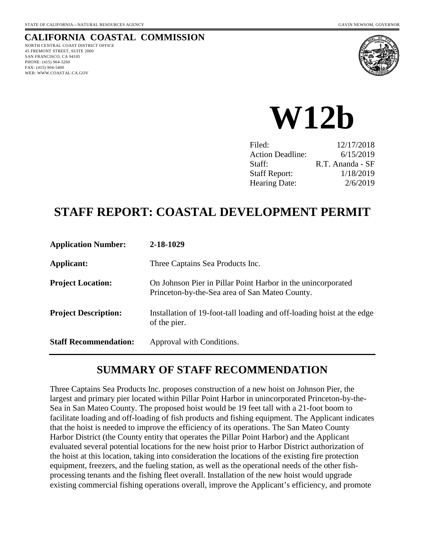### **CALIFORNIA COASTAL COMMISSION**

NORTH CENTRAL COAST DISTRICT OFFICE 45 FREMONT STREET, SUITE 2000 SAN FRANCISCO, CA 94105 PHONE: (415) 904-5260  FAX: (415) 904-5400 WEB: WWW.COASTAL.CA.GOV



**W12b** 

| Filed:                  | 12/17/2018       |
|-------------------------|------------------|
| <b>Action Deadline:</b> | 6/15/2019        |
| Staff:                  | R.T. Ananda - SF |
| <b>Staff Report:</b>    | 1/18/2019        |
| Hearing Date:           | 2/6/2019         |

# **STAFF REPORT: COASTAL DEVELOPMENT PERMIT**

| <b>Application Number:</b>   | 2-18-1029                                                                                                      |
|------------------------------|----------------------------------------------------------------------------------------------------------------|
| <b>Applicant:</b>            | Three Captains Sea Products Inc.                                                                               |
| <b>Project Location:</b>     | On Johnson Pier in Pillar Point Harbor in the unincorporated<br>Princeton-by-the-Sea area of San Mateo County. |
| <b>Project Description:</b>  | Installation of 19-foot-tall loading and off-loading hoist at the edge<br>of the pier.                         |
| <b>Staff Recommendation:</b> | Approval with Conditions.                                                                                      |

## **SUMMARY OF STAFF RECOMMENDATION**

Three Captains Sea Products Inc. proposes construction of a new hoist on Johnson Pier, the largest and primary pier located within Pillar Point Harbor in unincorporated Princeton-by-the-Sea in San Mateo County. The proposed hoist would be 19 feet tall with a 21-foot boom to facilitate loading and off-loading of fish products and fishing equipment. The Applicant indicates that the hoist is needed to improve the efficiency of its operations. The San Mateo County Harbor District (the County entity that operates the Pillar Point Harbor) and the Applicant evaluated several potential locations for the new hoist prior to Harbor District authorization of the hoist at this location, taking into consideration the locations of the existing fire protection equipment, freezers, and the fueling station, as well as the operational needs of the other fishprocessing tenants and the fishing fleet overall. Installation of the new hoist would upgrade existing commercial fishing operations overall, improve the Applicant's efficiency, and promote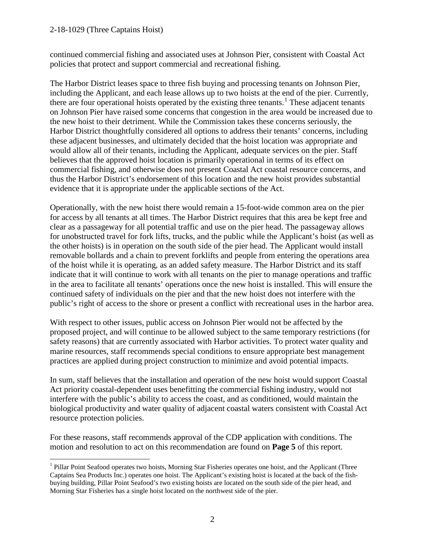$\overline{a}$ 

continued commercial fishing and associated uses at Johnson Pier, consistent with Coastal Act policies that protect and support commercial and recreational fishing.

The Harbor District leases space to three fish buying and processing tenants on Johnson Pier, including the Applicant, and each lease allows up to two hoists at the end of the pier. Currently, there are four operational hoists operated by the existing three tenants.<sup>[1](#page-1-0)</sup> These adjacent tenants on Johnson Pier have raised some concerns that congestion in the area would be increased due to the new hoist to their detriment. While the Commission takes these concerns seriously, the Harbor District thoughtfully considered all options to address their tenants' concerns, including these adjacent businesses, and ultimately decided that the hoist location was appropriate and would allow all of their tenants, including the Applicant, adequate services on the pier. Staff believes that the approved hoist location is primarily operational in terms of its effect on commercial fishing, and otherwise does not present Coastal Act coastal resource concerns, and thus the Harbor District's endorsement of this location and the new hoist provides substantial evidence that it is appropriate under the applicable sections of the Act.

Operationally, with the new hoist there would remain a 15-foot-wide common area on the pier for access by all tenants at all times. The Harbor District requires that this area be kept free and clear as a passageway for all potential traffic and use on the pier head. The passageway allows for unobstructed travel for fork lifts, trucks, and the public while the Applicant's hoist (as well as the other hoists) is in operation on the south side of the pier head. The Applicant would install removable bollards and a chain to prevent forklifts and people from entering the operations area of the hoist while it is operating, as an added safety measure. The Harbor District and its staff indicate that it will continue to work with all tenants on the pier to manage operations and traffic in the area to facilitate all tenants' operations once the new hoist is installed. This will ensure the continued safety of individuals on the pier and that the new hoist does not interfere with the public's right of access to the shore or present a conflict with recreational uses in the harbor area.

With respect to other issues, public access on Johnson Pier would not be affected by the proposed project, and will continue to be allowed subject to the same temporary restrictions (for safety reasons) that are currently associated with Harbor activities. To protect water quality and marine resources, staff recommends special conditions to ensure appropriate best management practices are applied during project construction to minimize and avoid potential impacts.

In sum, staff believes that the installation and operation of the new hoist would support Coastal Act priority coastal-dependent uses benefitting the commercial fishing industry, would not interfere with the public's ability to access the coast, and as conditioned, would maintain the biological productivity and water quality of adjacent coastal waters consistent with Coastal Act resource protection policies.

For these reasons, staff recommends approval of the CDP application with conditions. The motion and resolution to act on this recommendation are found on **Page 5** of this report.

<span id="page-1-0"></span><sup>&</sup>lt;sup>1</sup> Pillar Point Seafood operates two hoists, Morning Star Fisheries operates one hoist, and the Applicant (Three Captains Sea Products Inc.) operates one hoist. The Applicant's existing hoist is located at the back of the fishbuying building, Pillar Point Seafood's two existing hoists are located on the south side of the pier head, and Morning Star Fisheries has a single hoist located on the northwest side of the pier.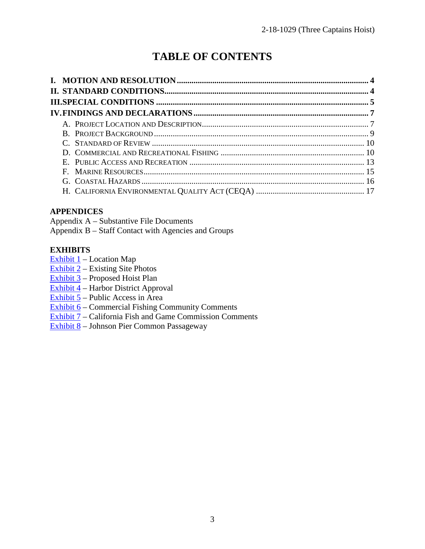# **TABLE OF CONTENTS**

#### **APPENDICES**

Appendix A – Substantive File Documents Appendix B – Staff Contact with Agencies and Groups

#### **EXHIBITS**

Exhibit  $1$  – Location Map

 $\overline{\text{Exhibit 2}}$  – Existing Site Photos

[Exhibit 3](https://documents.coastal.ca.gov/reports/2019/2/w12b/w12b-2-2019-exhibits.pdf) – Proposed Hoist Plan

 $\boxed{\text{Exhibit 4}}$  – Harbor District Approval

Exhibit  $5$  – Public Access in Area

[Exhibit 6](https://documents.coastal.ca.gov/reports/2019/2/w12b/w12b-2-2019-exhibits.pdf) – Commercial Fishing Community Comments

[Exhibit 7](https://documents.coastal.ca.gov/reports/2019/2/w12b/w12b-2-2019-exhibits.pdf) – California Fish and Game Commission Comments

[Exhibit 8](https://documents.coastal.ca.gov/reports/2019/2/w12b/w12b-2-2019-exhibits.pdf) – Johnson Pier Common Passageway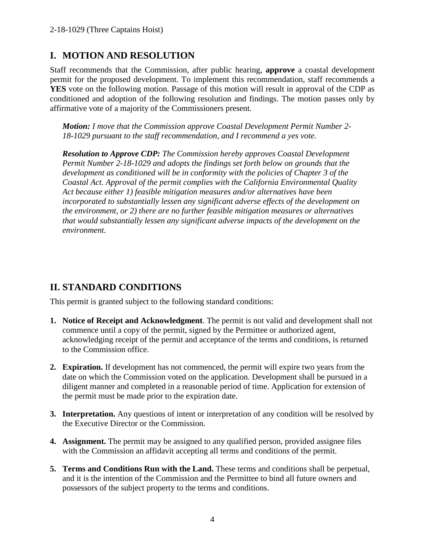## **I. MOTION AND RESOLUTION**

Staff recommends that the Commission, after public hearing, **approve** a coastal development permit for the proposed development. To implement this recommendation, staff recommends a **YES** vote on the following motion. Passage of this motion will result in approval of the CDP as conditioned and adoption of the following resolution and findings. The motion passes only by affirmative vote of a majority of the Commissioners present.

*Motion: I move that the Commission approve Coastal Development Permit Number 2- 18-1029 pursuant to the staff recommendation, and I recommend a yes vote.* 

*Resolution to Approve CDP: The Commission hereby approves Coastal Development Permit Number 2-18-1029 and adopts the findings set forth below on grounds that the development as conditioned will be in conformity with the policies of Chapter 3 of the Coastal Act. Approval of the permit complies with the California Environmental Quality Act because either 1) feasible mitigation measures and/or alternatives have been incorporated to substantially lessen any significant adverse effects of the development on the environment, or 2) there are no further feasible mitigation measures or alternatives that would substantially lessen any significant adverse impacts of the development on the environment.*

## **II. STANDARD CONDITIONS**

This permit is granted subject to the following standard conditions:

- **1. Notice of Receipt and Acknowledgment**. The permit is not valid and development shall not commence until a copy of the permit, signed by the Permittee or authorized agent, acknowledging receipt of the permit and acceptance of the terms and conditions, is returned to the Commission office.
- **2. Expiration.** If development has not commenced, the permit will expire two years from the date on which the Commission voted on the application. Development shall be pursued in a diligent manner and completed in a reasonable period of time. Application for extension of the permit must be made prior to the expiration date.
- **3. Interpretation.** Any questions of intent or interpretation of any condition will be resolved by the Executive Director or the Commission.
- **4. Assignment.** The permit may be assigned to any qualified person, provided assignee files with the Commission an affidavit accepting all terms and conditions of the permit.
- **5. Terms and Conditions Run with the Land.** These terms and conditions shall be perpetual, and it is the intention of the Commission and the Permittee to bind all future owners and possessors of the subject property to the terms and conditions.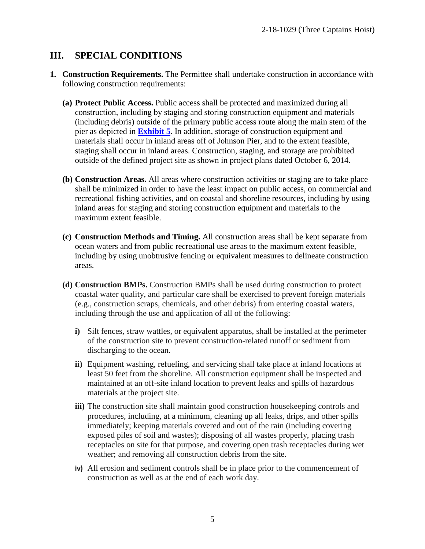#### **III. SPECIAL CONDITIONS**

- **1. Construction Requirements.** The Permittee shall undertake construction in accordance with following construction requirements:
	- **(a) Protect Public Access.** Public access shall be protected and maximized during all construction, including by staging and storing construction equipment and materials (including debris) outside of the primary public access route along the main stem of the pier as depicted in **[Exhibit 5](https://documents.coastal.ca.gov/reports/2019/2/w12b/w12b-2-2019-exhibits.pdf)**. In addition, storage of construction equipment and materials shall occur in inland areas off of Johnson Pier, and to the extent feasible, staging shall occur in inland areas. Construction, staging, and storage are prohibited outside of the defined project site as shown in project plans dated October 6, 2014.
	- **(b) Construction Areas.** All areas where construction activities or staging are to take place shall be minimized in order to have the least impact on public access, on commercial and recreational fishing activities, and on coastal and shoreline resources, including by using inland areas for staging and storing construction equipment and materials to the maximum extent feasible.
	- **(c) Construction Methods and Timing.** All construction areas shall be kept separate from ocean waters and from public recreational use areas to the maximum extent feasible, including by using unobtrusive fencing or equivalent measures to delineate construction areas.
	- **(d) Construction BMPs.** Construction BMPs shall be used during construction to protect coastal water quality, and particular care shall be exercised to prevent foreign materials (e.g., construction scraps, chemicals, and other debris) from entering coastal waters, including through the use and application of all of the following:
		- **i)** Silt fences, straw wattles, or equivalent apparatus, shall be installed at the perimeter of the construction site to prevent construction-related runoff or sediment from discharging to the ocean.
		- **ii)** Equipment washing, refueling, and servicing shall take place at inland locations at least 50 feet from the shoreline. All construction equipment shall be inspected and maintained at an off-site inland location to prevent leaks and spills of hazardous materials at the project site.
		- **iii)** The construction site shall maintain good construction housekeeping controls and procedures, including, at a minimum, cleaning up all leaks, drips, and other spills immediately; keeping materials covered and out of the rain (including covering exposed piles of soil and wastes); disposing of all wastes properly, placing trash receptacles on site for that purpose, and covering open trash receptacles during wet weather; and removing all construction debris from the site.
		- **iv)** All erosion and sediment controls shall be in place prior to the commencement of construction as well as at the end of each work day.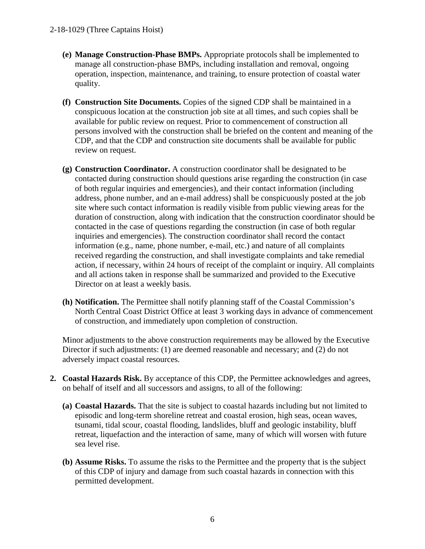- **(e) Manage Construction-Phase BMPs.** Appropriate protocols shall be implemented to manage all construction-phase BMPs, including installation and removal, ongoing operation, inspection, maintenance, and training, to ensure protection of coastal water quality.
- **(f) Construction Site Documents.** Copies of the signed CDP shall be maintained in a conspicuous location at the construction job site at all times, and such copies shall be available for public review on request. Prior to commencement of construction all persons involved with the construction shall be briefed on the content and meaning of the CDP, and that the CDP and construction site documents shall be available for public review on request.
- **(g) Construction Coordinator.** A construction coordinator shall be designated to be contacted during construction should questions arise regarding the construction (in case of both regular inquiries and emergencies), and their contact information (including address, phone number, and an e-mail address) shall be conspicuously posted at the job site where such contact information is readily visible from public viewing areas for the duration of construction, along with indication that the construction coordinator should be contacted in the case of questions regarding the construction (in case of both regular inquiries and emergencies). The construction coordinator shall record the contact information (e.g., name, phone number, e-mail, etc.) and nature of all complaints received regarding the construction, and shall investigate complaints and take remedial action, if necessary, within 24 hours of receipt of the complaint or inquiry. All complaints and all actions taken in response shall be summarized and provided to the Executive Director on at least a weekly basis.
- **(h) Notification.** The Permittee shall notify planning staff of the Coastal Commission's North Central Coast District Office at least 3 working days in advance of commencement of construction, and immediately upon completion of construction.

Minor adjustments to the above construction requirements may be allowed by the Executive Director if such adjustments: (1) are deemed reasonable and necessary; and (2) do not adversely impact coastal resources.

- **2. Coastal Hazards Risk.** By acceptance of this CDP, the Permittee acknowledges and agrees, on behalf of itself and all successors and assigns, to all of the following:
	- **(a) Coastal Hazards.** That the site is subject to coastal hazards including but not limited to episodic and long-term shoreline retreat and coastal erosion, high seas, ocean waves, tsunami, tidal scour, coastal flooding, landslides, bluff and geologic instability, bluff retreat, liquefaction and the interaction of same, many of which will worsen with future sea level rise.
	- **(b) Assume Risks.** To assume the risks to the Permittee and the property that is the subject of this CDP of injury and damage from such coastal hazards in connection with this permitted development.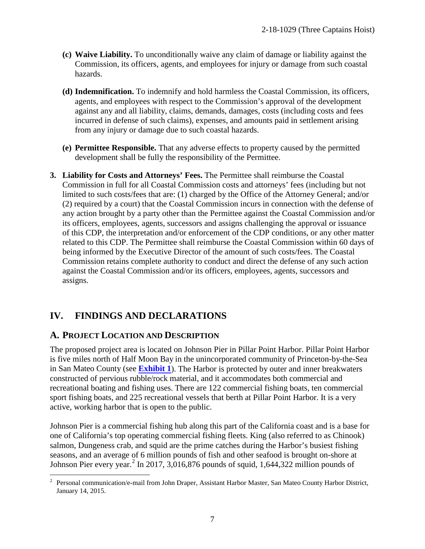- **(c) Waive Liability.** To unconditionally waive any claim of damage or liability against the Commission, its officers, agents, and employees for injury or damage from such coastal hazards.
- **(d) Indemnification.** To indemnify and hold harmless the Coastal Commission, its officers, agents, and employees with respect to the Commission's approval of the development against any and all liability, claims, demands, damages, costs (including costs and fees incurred in defense of such claims), expenses, and amounts paid in settlement arising from any injury or damage due to such coastal hazards.
- **(e) Permittee Responsible.** That any adverse effects to property caused by the permitted development shall be fully the responsibility of the Permittee.
- **3. Liability for Costs and Attorneys' Fees.** The Permittee shall reimburse the Coastal Commission in full for all Coastal Commission costs and attorneys' fees (including but not limited to such costs/fees that are: (1) charged by the Office of the Attorney General; and/or (2) required by a court) that the Coastal Commission incurs in connection with the defense of any action brought by a party other than the Permittee against the Coastal Commission and/or its officers, employees, agents, successors and assigns challenging the approval or issuance of this CDP, the interpretation and/or enforcement of the CDP conditions, or any other matter related to this CDP. The Permittee shall reimburse the Coastal Commission within 60 days of being informed by the Executive Director of the amount of such costs/fees. The Coastal Commission retains complete authority to conduct and direct the defense of any such action against the Coastal Commission and/or its officers, employees, agents, successors and assigns.

## **IV. FINDINGS AND DECLARATIONS**

### **A. PROJECT LOCATION AND DESCRIPTION**

The proposed project area is located on Johnson Pier in Pillar Point Harbor. Pillar Point Harbor is five miles north of Half Moon Bay in the unincorporated community of Princeton-by-the-Sea in San Mateo County (see **[Exhibit 1](https://documents.coastal.ca.gov/reports/2019/2/w12b/w12b-2-2019-exhibits.pdf)**). The Harbor is protected by outer and inner breakwaters constructed of pervious rubble/rock material, and it accommodates both commercial and recreational boating and fishing uses. There are 122 commercial fishing boats, ten commercial sport fishing boats, and 225 recreational vessels that berth at Pillar Point Harbor. It is a very active, working harbor that is open to the public.

Johnson Pier is a commercial fishing hub along this part of the California coast and is a base for one of California's top operating commercial fishing fleets. King (also referred to as Chinook) salmon, Dungeness crab, and squid are the prime catches during the Harbor's busiest fishing seasons, and an average of 6 million pounds of fish and other seafood is brought on-shore at Johnson Pier every year.<sup>[2](#page-6-0)</sup> In 2017, 3,016,876 pounds of squid, 1,644,322 million pounds of

<span id="page-6-0"></span><sup>&</sup>lt;sup>2</sup> Personal communication/e-mail from John Draper, Assistant Harbor Master, San Mateo County Harbor District, January 14, 2015.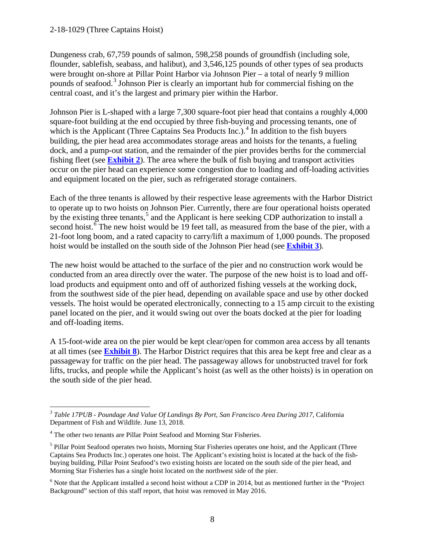Dungeness crab, 67,759 pounds of salmon, 598,258 pounds of groundfish (including sole, flounder, sablefish, seabass, and halibut), and 3,546,125 pounds of other types of sea products were brought on-shore at Pillar Point Harbor via Johnson Pier – a total of nearly 9 million pounds of seafood.<sup>[3](#page-7-0)</sup> Johnson Pier is clearly an important hub for commercial fishing on the central coast, and it's the largest and primary pier within the Harbor.

Johnson Pier is L-shaped with a large 7,300 square-foot pier head that contains a roughly 4,000 square-foot building at the end occupied by three fish-buying and processing tenants, one of which is the Applicant (Three Captains Sea Products Inc.).<sup>[4](#page-7-1)</sup> In addition to the fish buyers building, the pier head area accommodates storage areas and hoists for the tenants, a fueling dock, and a pump-out station, and the remainder of the pier provides berths for the commercial fishing fleet (see **[Exhibit 2](https://documents.coastal.ca.gov/reports/2019/2/w12b/w12b-2-2019-exhibits.pdf)**). The area where the bulk of fish buying and transport activities occur on the pier head can experience some congestion due to loading and off-loading activities and equipment located on the pier, such as refrigerated storage containers.

Each of the three tenants is allowed by their respective lease agreements with the Harbor District to operate up to two hoists on Johnson Pier. Currently, there are four operational hoists operated by the existing three tenants,<sup>[5](#page-7-2)</sup> and the Applicant is here seeking CDP authorization to install a second hoist.<sup>[6](#page-7-3)</sup> The new hoist would be 19 feet tall, as measured from the base of the pier, with a 21-foot long boom, and a rated capacity to carry/lift a maximum of 1,000 pounds. The proposed hoist would be installed on the south side of the Johnson Pier head (see **[Exhibit 3](https://documents.coastal.ca.gov/reports/2019/2/w12b/w12b-2-2019-exhibits.pdf)**).

The new hoist would be attached to the surface of the pier and no construction work would be conducted from an area directly over the water. The purpose of the new hoist is to load and offload products and equipment onto and off of authorized fishing vessels at the working dock, from the southwest side of the pier head, depending on available space and use by other docked vessels. The hoist would be operated electronically, connecting to a 15 amp circuit to the existing panel located on the pier, and it would swing out over the boats docked at the pier for loading and off-loading items.

A 15-foot-wide area on the pier would be kept clear/open for common area access by all tenants at all times (see **[Exhibit 8](https://documents.coastal.ca.gov/reports/2019/2/w12b/w12b-2-2019-exhibits.pdf)**). The Harbor District requires that this area be kept free and clear as a passageway for traffic on the pier head. The passageway allows for unobstructed travel for fork lifts, trucks, and people while the Applicant's hoist (as well as the other hoists) is in operation on the south side of the pier head.

<span id="page-7-0"></span> $\overline{a}$ <sup>3</sup> Table 17PUB - Poundage And Value Of Landings By Port, San Francisco Area During 2017, California Department of Fish and Wildlife. June 13, 2018.

<span id="page-7-1"></span><sup>&</sup>lt;sup>4</sup> The other two tenants are Pillar Point Seafood and Morning Star Fisheries.

<span id="page-7-2"></span><sup>&</sup>lt;sup>5</sup> Pillar Point Seafood operates two hoists, Morning Star Fisheries operates one hoist, and the Applicant (Three Captains Sea Products Inc.) operates one hoist. The Applicant's existing hoist is located at the back of the fishbuying building, Pillar Point Seafood's two existing hoists are located on the south side of the pier head, and Morning Star Fisheries has a single hoist located on the northwest side of the pier.

<span id="page-7-3"></span><sup>&</sup>lt;sup>6</sup> Note that the Applicant installed a second hoist without a CDP in 2014, but as mentioned further in the "Project" Background" section of this staff report, that hoist was removed in May 2016.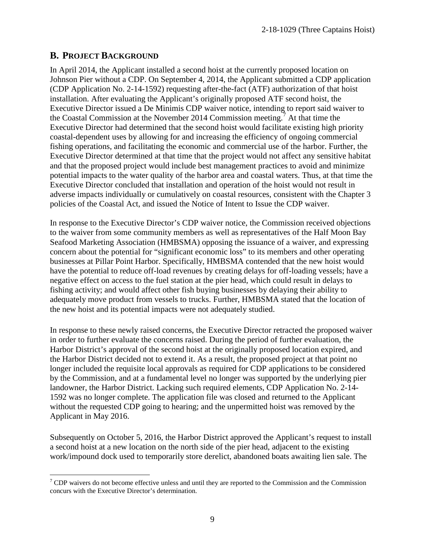#### **B. PROJECT BACKGROUND**

In April 2014, the Applicant installed a second hoist at the currently proposed location on Johnson Pier without a CDP. On September 4, 2014, the Applicant submitted a CDP application (CDP Application No. 2-14-1592) requesting after-the-fact (ATF) authorization of that hoist installation. After evaluating the Applicant's originally proposed ATF second hoist, the Executive Director issued a De Minimis CDP waiver notice, intending to report said waiver to the Coastal Commission at the November 2014 Commission meeting.<sup>[7](#page-8-0)</sup> At that time the Executive Director had determined that the second hoist would facilitate existing high priority coastal-dependent uses by allowing for and increasing the efficiency of ongoing commercial fishing operations, and facilitating the economic and commercial use of the harbor. Further, the Executive Director determined at that time that the project would not affect any sensitive habitat and that the proposed project would include best management practices to avoid and minimize potential impacts to the water quality of the harbor area and coastal waters. Thus, at that time the Executive Director concluded that installation and operation of the hoist would not result in adverse impacts individually or cumulatively on coastal resources, consistent with the Chapter 3 policies of the Coastal Act, and issued the Notice of Intent to Issue the CDP waiver.

In response to the Executive Director's CDP waiver notice, the Commission received objections to the waiver from some community members as well as representatives of the Half Moon Bay Seafood Marketing Association (HMBSMA) opposing the issuance of a waiver, and expressing concern about the potential for "significant economic loss" to its members and other operating businesses at Pillar Point Harbor. Specifically, HMBSMA contended that the new hoist would have the potential to reduce off-load revenues by creating delays for off-loading vessels; have a negative effect on access to the fuel station at the pier head, which could result in delays to fishing activity; and would affect other fish buying businesses by delaying their ability to adequately move product from vessels to trucks. Further, HMBSMA stated that the location of the new hoist and its potential impacts were not adequately studied.

In response to these newly raised concerns, the Executive Director retracted the proposed waiver in order to further evaluate the concerns raised. During the period of further evaluation, the Harbor District's approval of the second hoist at the originally proposed location expired, and the Harbor District decided not to extend it. As a result, the proposed project at that point no longer included the requisite local approvals as required for CDP applications to be considered by the Commission, and at a fundamental level no longer was supported by the underlying pier landowner, the Harbor District. Lacking such required elements, CDP Application No. 2-14- 1592 was no longer complete. The application file was closed and returned to the Applicant without the requested CDP going to hearing; and the unpermitted hoist was removed by the Applicant in May 2016.

Subsequently on October 5, 2016, the Harbor District approved the Applicant's request to install a second hoist at a new location on the north side of the pier head, adjacent to the existing work/impound dock used to temporarily store derelict, abandoned boats awaiting lien sale. The

<span id="page-8-0"></span> $\overline{a}$  $7$  CDP waivers do not become effective unless and until they are reported to the Commission and the Commission concurs with the Executive Director's determination.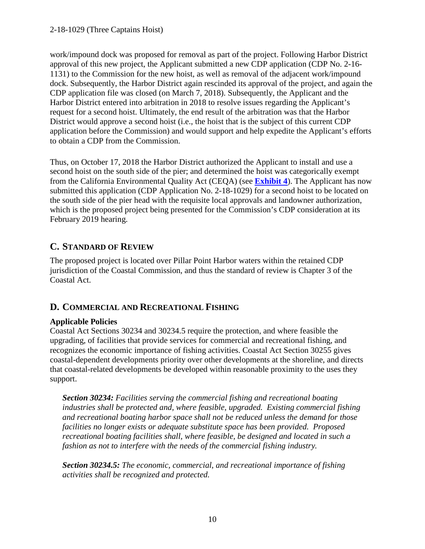work/impound dock was proposed for removal as part of the project. Following Harbor District approval of this new project, the Applicant submitted a new CDP application (CDP No. 2-16- 1131) to the Commission for the new hoist, as well as removal of the adjacent work/impound dock. Subsequently, the Harbor District again rescinded its approval of the project, and again the CDP application file was closed (on March 7, 2018). Subsequently, the Applicant and the Harbor District entered into arbitration in 2018 to resolve issues regarding the Applicant's request for a second hoist. Ultimately, the end result of the arbitration was that the Harbor District would approve a second hoist (i.e., the hoist that is the subject of this current CDP application before the Commission) and would support and help expedite the Applicant's efforts to obtain a CDP from the Commission.

Thus, on October 17, 2018 the Harbor District authorized the Applicant to install and use a second hoist on the south side of the pier; and determined the hoist was categorically exempt from the California Environmental Quality Act (CEQA) (see **[Exhibit 4](https://documents.coastal.ca.gov/reports/2019/2/w12b/w12b-2-2019-exhibits.pdf)**). The Applicant has now submitted this application (CDP Application No. 2-18-1029) for a second hoist to be located on the south side of the pier head with the requisite local approvals and landowner authorization, which is the proposed project being presented for the Commission's CDP consideration at its February 2019 hearing.

### **C. STANDARD OF REVIEW**

The proposed project is located over Pillar Point Harbor waters within the retained CDP jurisdiction of the Coastal Commission, and thus the standard of review is Chapter 3 of the Coastal Act.

### **D. COMMERCIAL AND RECREATIONAL FISHING**

#### **Applicable Policies**

Coastal Act Sections 30234 and 30234.5 require the protection, and where feasible the upgrading, of facilities that provide services for commercial and recreational fishing, and recognizes the economic importance of fishing activities. Coastal Act Section 30255 gives coastal-dependent developments priority over other developments at the shoreline, and directs that coastal-related developments be developed within reasonable proximity to the uses they support.

*Section 30234: Facilities serving the commercial fishing and recreational boating industries shall be protected and, where feasible, upgraded. Existing commercial fishing and recreational boating harbor space shall not be reduced unless the demand for those facilities no longer exists or adequate substitute space has been provided. Proposed recreational boating facilities shall, where feasible, be designed and located in such a fashion as not to interfere with the needs of the commercial fishing industry.* 

*Section 30234.5: The economic, commercial, and recreational importance of fishing activities shall be recognized and protected.*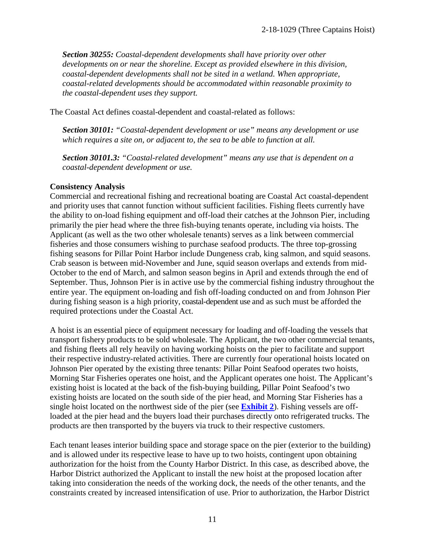*Section 30255: Coastal-dependent developments shall have priority over other developments on or near the shoreline. Except as provided elsewhere in this division, coastal-dependent developments shall not be sited in a wetland. When appropriate, coastal-related developments should be accommodated within reasonable proximity to the coastal-dependent uses they support.* 

The Coastal Act defines coastal-dependent and coastal-related as follows:

*Section 30101: "Coastal-dependent development or use" means any development or use which requires a site on, or adjacent to, the sea to be able to function at all.* 

*Section 30101.3: "Coastal-related development" means any use that is dependent on a coastal-dependent development or use.* 

#### **Consistency Analysis**

Commercial and recreational fishing and recreational boating are Coastal Act coastal-dependent and priority uses that cannot function without sufficient facilities. Fishing fleets currently have the ability to on-load fishing equipment and off-load their catches at the Johnson Pier, including primarily the pier head where the three fish-buying tenants operate, including via hoists. The Applicant (as well as the two other wholesale tenants) serves as a link between commercial fisheries and those consumers wishing to purchase seafood products. The three top-grossing fishing seasons for Pillar Point Harbor include Dungeness crab, king salmon, and squid seasons. Crab season is between mid-November and June, squid season overlaps and extends from mid-October to the end of March, and salmon season begins in April and extends through the end of September. Thus, Johnson Pier is in active use by the commercial fishing industry throughout the entire year. The equipment on-loading and fish off-loading conducted on and from Johnson Pier during fishing season is a high priority, coastal-dependent use and as such must be afforded the required protections under the Coastal Act.

A hoist is an essential piece of equipment necessary for loading and off-loading the vessels that transport fishery products to be sold wholesale. The Applicant, the two other commercial tenants, and fishing fleets all rely heavily on having working hoists on the pier to facilitate and support their respective industry-related activities. There are currently four operational hoists located on Johnson Pier operated by the existing three tenants: Pillar Point Seafood operates two hoists, Morning Star Fisheries operates one hoist, and the Applicant operates one hoist. The Applicant's existing hoist is located at the back of the fish-buying building, Pillar Point Seafood's two existing hoists are located on the south side of the pier head, and Morning Star Fisheries has a single hoist located on the northwest side of the pier (see **[Exhibit 2](https://documents.coastal.ca.gov/reports/2019/2/w12b/w12b-2-2019-exhibits.pdf)**). Fishing vessels are offloaded at the pier head and the buyers load their purchases directly onto refrigerated trucks. The products are then transported by the buyers via truck to their respective customers.

Each tenant leases interior building space and storage space on the pier (exterior to the building) and is allowed under its respective lease to have up to two hoists, contingent upon obtaining authorization for the hoist from the County Harbor District. In this case, as described above, the Harbor District authorized the Applicant to install the new hoist at the proposed location after taking into consideration the needs of the working dock, the needs of the other tenants, and the constraints created by increased intensification of use. Prior to authorization, the Harbor District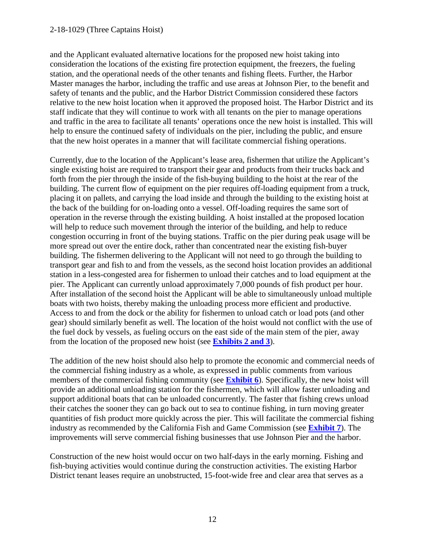and the Applicant evaluated alternative locations for the proposed new hoist taking into consideration the locations of the existing fire protection equipment, the freezers, the fueling station, and the operational needs of the other tenants and fishing fleets. Further, the Harbor Master manages the harbor, including the traffic and use areas at Johnson Pier, to the benefit and safety of tenants and the public, and the Harbor District Commission considered these factors relative to the new hoist location when it approved the proposed hoist. The Harbor District and its staff indicate that they will continue to work with all tenants on the pier to manage operations and traffic in the area to facilitate all tenants' operations once the new hoist is installed. This will help to ensure the continued safety of individuals on the pier, including the public, and ensure that the new hoist operates in a manner that will facilitate commercial fishing operations.

Currently, due to the location of the Applicant's lease area, fishermen that utilize the Applicant's single existing hoist are required to transport their gear and products from their trucks back and forth from the pier through the inside of the fish-buying building to the hoist at the rear of the building. The current flow of equipment on the pier requires off-loading equipment from a truck, placing it on pallets, and carrying the load inside and through the building to the existing hoist at the back of the building for on-loading onto a vessel. Off-loading requires the same sort of operation in the reverse through the existing building. A hoist installed at the proposed location will help to reduce such movement through the interior of the building, and help to reduce congestion occurring in front of the buying stations. Traffic on the pier during peak usage will be more spread out over the entire dock, rather than concentrated near the existing fish-buyer building. The fishermen delivering to the Applicant will not need to go through the building to transport gear and fish to and from the vessels, as the second hoist location provides an additional station in a less-congested area for fishermen to unload their catches and to load equipment at the pier. The Applicant can currently unload approximately 7,000 pounds of fish product per hour. After installation of the second hoist the Applicant will be able to simultaneously unload multiple boats with two hoists, thereby making the unloading process more efficient and productive. Access to and from the dock or the ability for fishermen to unload catch or load pots (and other gear) should similarly benefit as well. The location of the hoist would not conflict with the use of the fuel dock by vessels, as fueling occurs on the east side of the main stem of the pier, away from the location of the proposed new hoist (see **[Exhibits 2 and 3](https://documents.coastal.ca.gov/reports/2019/2/w12b/w12b-2-2019-exhibits.pdf)**).

The addition of the new hoist should also help to promote the economic and commercial needs of the commercial fishing industry as a whole, as expressed in public comments from various members of the commercial fishing community (see **[Exhibit 6](https://documents.coastal.ca.gov/reports/2019/2/w12b/w12b-2-2019-exhibits.pdf)**). Specifically, the new hoist will provide an additional unloading station for the fishermen, which will allow faster unloading and support additional boats that can be unloaded concurrently. The faster that fishing crews unload their catches the sooner they can go back out to sea to continue fishing, in turn moving greater quantities of fish product more quickly across the pier. This will facilitate the commercial fishing industry as recommended by the California Fish and Game Commission (see **[Exhibit 7](https://documents.coastal.ca.gov/reports/2019/2/w12b/w12b-2-2019-exhibits.pdf)**). The improvements will serve commercial fishing businesses that use Johnson Pier and the harbor.

Construction of the new hoist would occur on two half-days in the early morning. Fishing and fish-buying activities would continue during the construction activities. The existing Harbor District tenant leases require an unobstructed, 15-foot-wide free and clear area that serves as a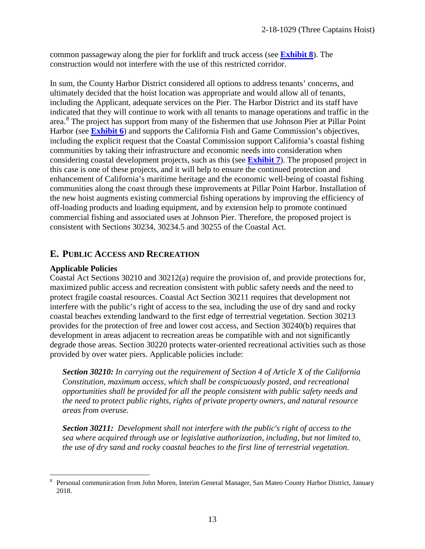common passageway along the pier for forklift and truck access (see **[Exhibit 8](https://documents.coastal.ca.gov/reports/2019/2/w12b/w12b-2-2019-exhibits.pdf)**). The construction would not interfere with the use of this restricted corridor.

In sum, the County Harbor District considered all options to address tenants' concerns, and ultimately decided that the hoist location was appropriate and would allow all of tenants, including the Applicant, adequate services on the Pier. The Harbor District and its staff have indicated that they will continue to work with all tenants to manage operations and traffic in the area.<sup>[8](#page-12-0)</sup> The project has support from many of the fishermen that use Johnson Pier at Pillar Point Harbor (see **[Exhibit 6](https://documents.coastal.ca.gov/reports/2019/2/w12b/w12b-2-2019-exhibits.pdf)**) and supports the California Fish and Game Commission's objectives, including the explicit request that the Coastal Commission support California's coastal fishing communities by taking their infrastructure and economic needs into consideration when considering coastal development projects, such as this (see **[Exhibit 7](https://documents.coastal.ca.gov/reports/2019/2/w12b/w12b-2-2019-exhibits.pdf)**). The proposed project in this case is one of these projects, and it will help to ensure the continued protection and enhancement of California's maritime heritage and the economic well-being of coastal fishing communities along the coast through these improvements at Pillar Point Harbor. Installation of the new hoist augments existing commercial fishing operations by improving the efficiency of off-loading products and loading equipment, and by extension help to promote continued commercial fishing and associated uses at Johnson Pier. Therefore, the proposed project is consistent with Sections 30234, 30234.5 and 30255 of the Coastal Act.

#### **E. PUBLIC ACCESS AND RECREATION**

#### **Applicable Policies**

Coastal Act Sections 30210 and 30212(a) require the provision of, and provide protections for, maximized public access and recreation consistent with public safety needs and the need to protect fragile coastal resources. Coastal Act Section 30211 requires that development not interfere with the public's right of access to the sea, including the use of dry sand and rocky coastal beaches extending landward to the first edge of terrestrial vegetation. Section 30213 provides for the protection of free and lower cost access, and Section 30240(b) requires that development in areas adjacent to recreation areas be compatible with and not significantly degrade those areas. Section 30220 protects water-oriented recreational activities such as those provided by over water piers. Applicable policies include:

*Section 30210: In carrying out the requirement of Section 4 of Article X of the California Constitution, maximum access, which shall be conspicuously posted, and recreational opportunities shall be provided for all the people consistent with public safety needs and the need to protect public rights, rights of private property owners, and natural resource areas from overuse.*

*Section 30211: Development shall not interfere with the public's right of access to the sea where acquired through use or legislative authorization, including, but not limited to, the use of dry sand and rocky coastal beaches to the first line of terrestrial vegetation.* 

<span id="page-12-0"></span> $\overline{a}$ 8 Personal communication from John Moren, Interim General Manager, San Mateo County Harbor District, January 2018.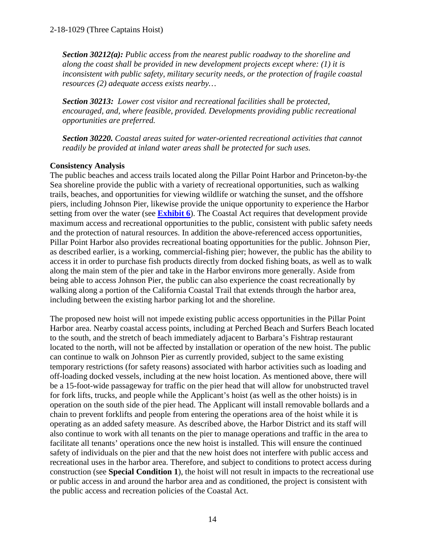*Section 30212(a): Public access from the nearest public roadway to the shoreline and along the coast shall be provided in new development projects except where: (1) it is inconsistent with public safety, military security needs, or the protection of fragile coastal resources (2) adequate access exists nearby…* 

*Section 30213: Lower cost visitor and recreational facilities shall be protected, encouraged, and, where feasible, provided. Developments providing public recreational opportunities are preferred.*

*Section 30220. Coastal areas suited for water-oriented recreational activities that cannot readily be provided at inland water areas shall be protected for such uses.* 

#### **Consistency Analysis**

The public beaches and access trails located along the Pillar Point Harbor and Princeton-by-the Sea shoreline provide the public with a variety of recreational opportunities, such as walking trails, beaches, and opportunities for viewing wildlife or watching the sunset, and the offshore piers, including Johnson Pier, likewise provide the unique opportunity to experience the Harbor setting from over the water (see **[Exhibit 6](https://documents.coastal.ca.gov/reports/2019/2/w12b/w12b-2-2019-exhibits.pdf)**). The Coastal Act requires that development provide maximum access and recreational opportunities to the public, consistent with public safety needs and the protection of natural resources. In addition the above-referenced access opportunities, Pillar Point Harbor also provides recreational boating opportunities for the public. Johnson Pier, as described earlier, is a working, commercial-fishing pier; however, the public has the ability to access it in order to purchase fish products directly from docked fishing boats, as well as to walk along the main stem of the pier and take in the Harbor environs more generally. Aside from being able to access Johnson Pier, the public can also experience the coast recreationally by walking along a portion of the California Coastal Trail that extends through the harbor area, including between the existing harbor parking lot and the shoreline.

The proposed new hoist will not impede existing public access opportunities in the Pillar Point Harbor area. Nearby coastal access points, including at Perched Beach and Surfers Beach located to the south, and the stretch of beach immediately adjacent to Barbara's Fishtrap restaurant located to the north, will not be affected by installation or operation of the new hoist. The public can continue to walk on Johnson Pier as currently provided, subject to the same existing temporary restrictions (for safety reasons) associated with harbor activities such as loading and off-loading docked vessels, including at the new hoist location. As mentioned above, there will be a 15-foot-wide passageway for traffic on the pier head that will allow for unobstructed travel for fork lifts, trucks, and people while the Applicant's hoist (as well as the other hoists) is in operation on the south side of the pier head. The Applicant will install removable bollards and a chain to prevent forklifts and people from entering the operations area of the hoist while it is operating as an added safety measure. As described above, the Harbor District and its staff will also continue to work with all tenants on the pier to manage operations and traffic in the area to facilitate all tenants' operations once the new hoist is installed. This will ensure the continued safety of individuals on the pier and that the new hoist does not interfere with public access and recreational uses in the harbor area. Therefore, and subject to conditions to protect access during construction (see **Special Condition 1**), the hoist will not result in impacts to the recreational use or public access in and around the harbor area and as conditioned, the project is consistent with the public access and recreation policies of the Coastal Act.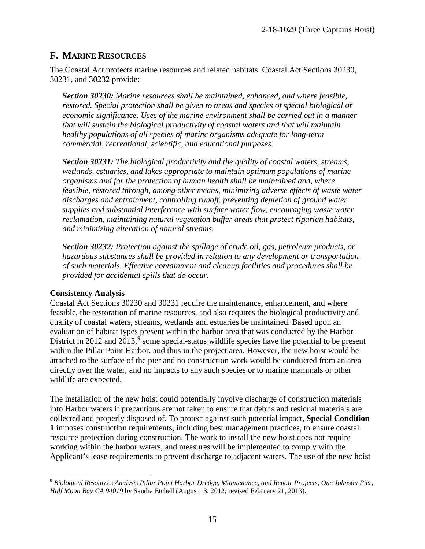### **F. MARINE RESOURCES**

The Coastal Act protects marine resources and related habitats. Coastal Act Sections 30230, 30231, and 30232 provide:

*Section 30230: Marine resources shall be maintained, enhanced, and where feasible, restored. Special protection shall be given to areas and species of special biological or economic significance. Uses of the marine environment shall be carried out in a manner that will sustain the biological productivity of coastal waters and that will maintain healthy populations of all species of marine organisms adequate for long-term commercial, recreational, scientific, and educational purposes.* 

*Section 30231: The biological productivity and the quality of coastal waters, streams, wetlands, estuaries, and lakes appropriate to maintain optimum populations of marine organisms and for the protection of human health shall be maintained and, where feasible, restored through, among other means, minimizing adverse effects of waste water discharges and entrainment, controlling runoff, preventing depletion of ground water supplies and substantial interference with surface water flow, encouraging waste water reclamation, maintaining natural vegetation buffer areas that protect riparian habitats, and minimizing alteration of natural streams.* 

*Section 30232: Protection against the spillage of crude oil, gas, petroleum products, or hazardous substances shall be provided in relation to any development or transportation of such materials. Effective containment and cleanup facilities and procedures shall be provided for accidental spills that do occur.*

#### **Consistency Analysis**

Coastal Act Sections 30230 and 30231 require the maintenance, enhancement, and where feasible, the restoration of marine resources, and also requires the biological productivity and quality of coastal waters, streams, wetlands and estuaries be maintained. Based upon an evaluation of habitat types present within the harbor area that was conducted by the Harbor District in 2012 and  $2013$ , some special-status wildlife species have the potential to be present within the Pillar Point Harbor, and thus in the project area. However, the new hoist would be attached to the surface of the pier and no construction work would be conducted from an area directly over the water, and no impacts to any such species or to marine mammals or other wildlife are expected.

The installation of the new hoist could potentially involve discharge of construction materials into Harbor waters if precautions are not taken to ensure that debris and residual materials are collected and properly disposed of. To protect against such potential impact, **Special Condition 1** imposes construction requirements, including best management practices, to ensure coastal resource protection during construction. The work to install the new hoist does not require working within the harbor waters, and measures will be implemented to comply with the Applicant's lease requirements to prevent discharge to adjacent waters. The use of the new hoist

<span id="page-14-0"></span> $\overline{a}$ <sup>9</sup> *Biological Resources Analysis Pillar Point Harbor Dredge, Maintenance, and Repair Projects, One Johnson Pier, Half Moon Bay CA 94019* by Sandra Etchell (August 13, 2012; revised February 21, 2013).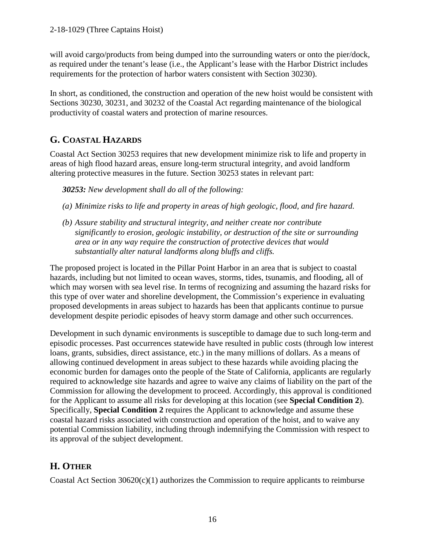will avoid cargo/products from being dumped into the surrounding waters or onto the pier/dock, as required under the tenant's lease (i.e., the Applicant's lease with the Harbor District includes requirements for the protection of harbor waters consistent with Section 30230).

In short, as conditioned, the construction and operation of the new hoist would be consistent with Sections 30230, 30231, and 30232 of the Coastal Act regarding maintenance of the biological productivity of coastal waters and protection of marine resources.

## **G. COASTAL HAZARDS**

Coastal Act Section 30253 requires that new development minimize risk to life and property in areas of high flood hazard areas, ensure long-term structural integrity, and avoid landform altering protective measures in the future. Section 30253 states in relevant part:

*30253: New development shall do all of the following:* 

- *(a) Minimize risks to life and property in areas of high geologic, flood, and fire hazard.*
- *(b) Assure stability and structural integrity, and neither create nor contribute significantly to erosion, geologic instability, or destruction of the site or surrounding area or in any way require the construction of protective devices that would substantially alter natural landforms along bluffs and cliffs.*

The proposed project is located in the Pillar Point Harbor in an area that is subject to coastal hazards, including but not limited to ocean waves, storms, tides, tsunamis, and flooding, all of which may worsen with sea level rise. In terms of recognizing and assuming the hazard risks for this type of over water and shoreline development, the Commission's experience in evaluating proposed developments in areas subject to hazards has been that applicants continue to pursue development despite periodic episodes of heavy storm damage and other such occurrences.

Development in such dynamic environments is susceptible to damage due to such long-term and episodic processes. Past occurrences statewide have resulted in public costs (through low interest loans, grants, subsidies, direct assistance, etc.) in the many millions of dollars. As a means of allowing continued development in areas subject to these hazards while avoiding placing the economic burden for damages onto the people of the State of California, applicants are regularly required to acknowledge site hazards and agree to waive any claims of liability on the part of the Commission for allowing the development to proceed. Accordingly, this approval is conditioned for the Applicant to assume all risks for developing at this location (see **Special Condition 2**). Specifically, **Special Condition 2** requires the Applicant to acknowledge and assume these coastal hazard risks associated with construction and operation of the hoist, and to waive any potential Commission liability, including through indemnifying the Commission with respect to its approval of the subject development.

## **H. OTHER**

Coastal Act Section  $30620(c)(1)$  authorizes the Commission to require applicants to reimburse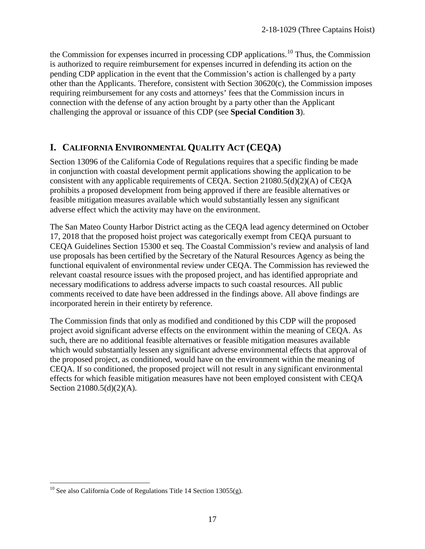the Commission for expenses incurred in processing CDP applications.<sup>[10](#page-16-0)</sup> Thus, the Commission is authorized to require reimbursement for expenses incurred in defending its action on the pending CDP application in the event that the Commission's action is challenged by a party other than the Applicants. Therefore, consistent with Section 30620(c), the Commission imposes requiring reimbursement for any costs and attorneys' fees that the Commission incurs in connection with the defense of any action brought by a party other than the Applicant challenging the approval or issuance of this CDP (see **Special Condition 3**).

### **I. CALIFORNIA ENVIRONMENTAL QUALITY ACT (CEQA)**

Section 13096 of the California Code of Regulations requires that a specific finding be made in conjunction with coastal development permit applications showing the application to be consistent with any applicable requirements of CEQA. Section 21080.5(d)(2)(A) of CEQA prohibits a proposed development from being approved if there are feasible alternatives or feasible mitigation measures available which would substantially lessen any significant adverse effect which the activity may have on the environment.

The San Mateo County Harbor District acting as the CEQA lead agency determined on October 17, 2018 that the proposed hoist project was categorically exempt from CEQA pursuant to CEQA Guidelines Section 15300 et seq. The Coastal Commission's review and analysis of land use proposals has been certified by the Secretary of the Natural Resources Agency as being the functional equivalent of environmental review under CEQA. The Commission has reviewed the relevant coastal resource issues with the proposed project, and has identified appropriate and necessary modifications to address adverse impacts to such coastal resources. All public comments received to date have been addressed in the findings above. All above findings are incorporated herein in their entirety by reference.

The Commission finds that only as modified and conditioned by this CDP will the proposed project avoid significant adverse effects on the environment within the meaning of CEQA. As such, there are no additional feasible alternatives or feasible mitigation measures available which would substantially lessen any significant adverse environmental effects that approval of the proposed project, as conditioned, would have on the environment within the meaning of CEQA. If so conditioned, the proposed project will not result in any significant environmental effects for which feasible mitigation measures have not been employed consistent with CEQA Section 21080.5(d)(2)(A).

<span id="page-16-0"></span> $\overline{a}$  $10$  See also California Code of Regulations Title 14 Section 13055(g).